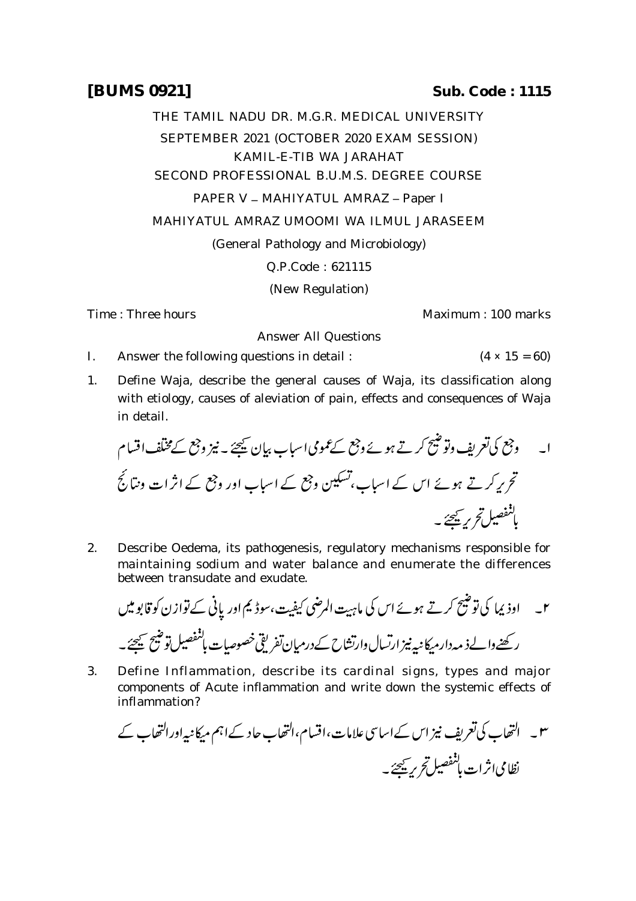## **[BUMS 0921] Sub. Code : 1115**

THE TAMIL NADU DR. M.G.R. MEDICAL UNIVERSITY SEPTEMBER 2021 (OCTOBER 2020 EXAM SESSION) KAMIL-E-TIB WA JARAHAT SECOND PROFESSIONAL B.U.M.S. DEGREE COURSE PAPER V - MAHIYATUL AMRAZ - Paper I MAHIYATUL AMRAZ UMOOMI WA ILMUL JARASEEM (General Pathology and Microbiology) Q.P.Code : 621115 (New Regulation)

Time : Three hours **Maximum** : 100 marks

Answer All Questions

I. Answer the following questions in detail :  $(4 \times 15 = 60)$ 

1. Define Waja, describe the general causes of Waja, its classification along with etiology, causes of aleviation of pain, effects and consequences of Waja in detail.

 

2. Describe Oedema, its pathogenesis, regulatory mechanisms responsible for maintaining sodium and water balance and enumerate the differences between transudate and exudate.

 

3. Define Inflammation, describe its cardinal signs, types and major components of Acute inflammation and write down the systemic effects of inflammation?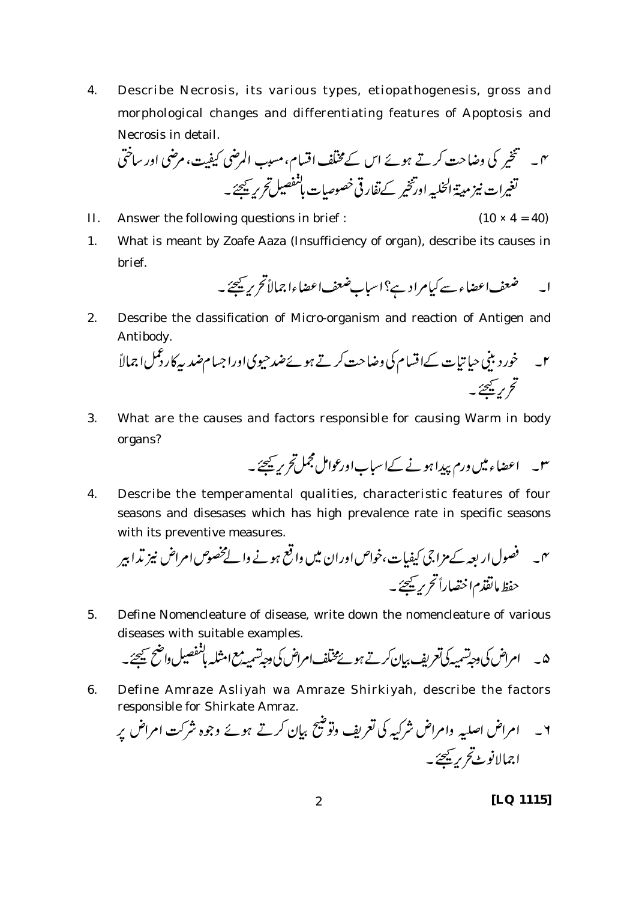4. Describe Necrosis, its various types, etiopathogenesis, gross and morphological changes and differentiating features of Apoptosis and Necrosis in detail.

 

- II. Answer the following questions in brief :  $(10 \times 4 = 40)$
- 1. What is meant by Zoafe Aaza (Insufficiency of organ), describe its causes in brief.

2. Describe the classification of Micro-organism and reaction of Antigen and Antibody.

 

3. What are the causes and factors responsible for causing Warm in body organs?

4. Describe the temperamental qualities, characteristic features of four seasons and disesases which has high prevalence rate in specific seasons with its preventive measures.

 

5. Define Nomencleature of disease, write down the nomencleature of various diseases with suitable examples.

6. Define Amraze Asliyah wa Amraze Shirkiyah, describe the factors responsible for Shirkate Amraz.

 

2 **[LQ 1115]**